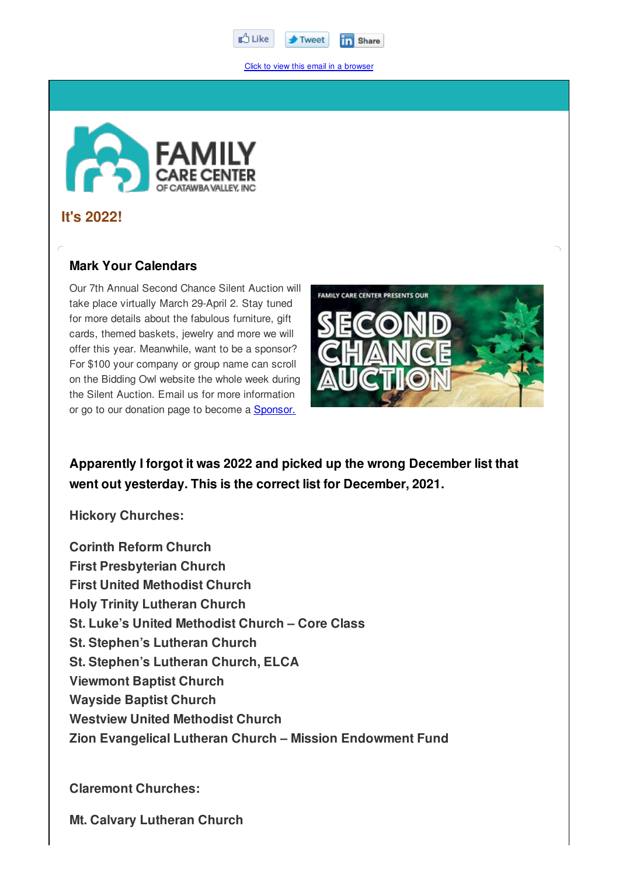

Click to view this email in a browser



## **It's 2022!**

## **Mark Your Calendars**

Our 7th Annual Second Chance Silent Auction will take place virtually March 29-April 2. Stay tuned for more details about the fabulous furniture, gift cards, themed baskets, jewelry and more we will offer this year. Meanwhile, want to be a sponsor? For \$100 your company or group name can scroll on the Bidding Owl website the whole week during the Silent Auction. Email us for more information or go to our donation page to become a **Sponsor.** 



**Apparently I forgot it was 2022 and picked up the wrong December list that went out yesterday. This is the correct list for December, 2021.**

**Hickory Churches:**

**Corinth Reform Church First Presbyterian Church First United Methodist Church Holy Trinity Lutheran Church St. Luke's United Methodist Church – Core Class St. Stephen's Lutheran Church St. Stephen's Lutheran Church, ELCA Viewmont Baptist Church Wayside Baptist Church Westview United Methodist Church Zion Evangelical Lutheran Church – Mission Endowment Fund**

**Claremont Churches:**

**Mt. Calvary Lutheran Church**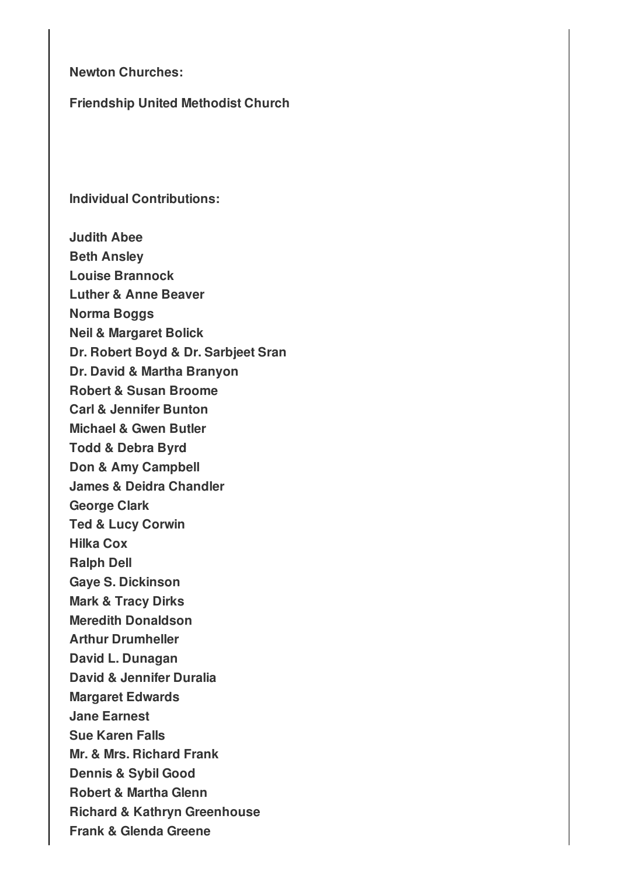**Newton Churches:**

**Friendship United Methodist Church**

**Individual Contributions:**

**Judith Abee Beth Ansley Louise Brannock Luther & Anne Beaver Norma Boggs Neil & Margaret Bolick Dr. Robert Boyd & Dr. Sarbjeet Sran Dr. David & Martha Branyon Robert & Susan Broome Carl & Jennifer Bunton Michael & Gwen Butler Todd & Debra Byrd Don & Amy Campbell James & Deidra Chandler George Clark Ted & Lucy Corwin Hilka Cox Ralph Dell Gaye S. Dickinson Mark & Tracy Dirks Meredith Donaldson Arthur Drumheller David L. Dunagan David & Jennifer Duralia Margaret Edwards Jane Earnest Sue Karen Falls Mr. & Mrs. Richard Frank Dennis & Sybil Good Robert & Martha Glenn Richard & Kathryn Greenhouse Frank & Glenda Greene**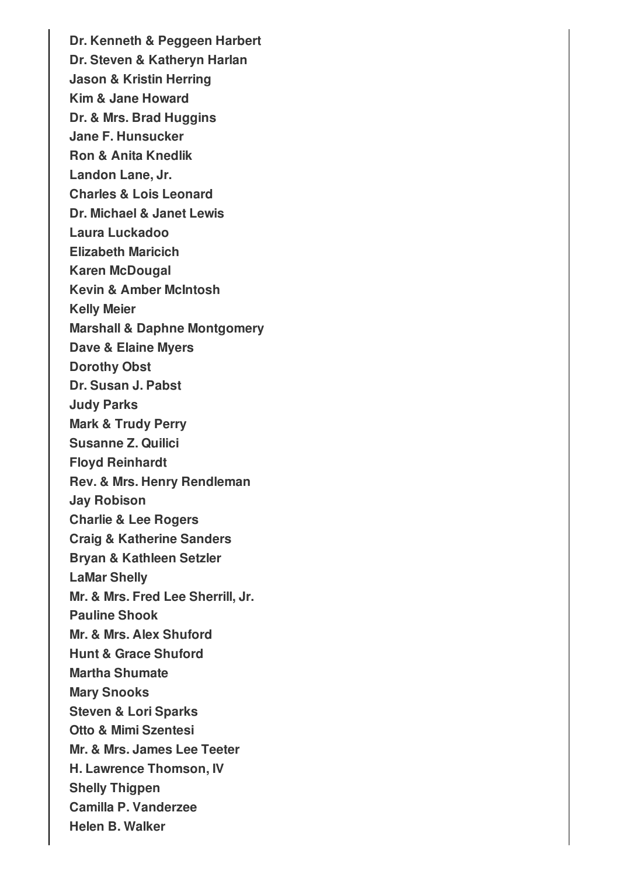**Dr. Kenneth & Peggeen Harbert Dr. Steven & Katheryn Harlan Jason & Kristin Herring Kim & Jane Howard Dr. & Mrs. Brad Huggins Jane F. Hunsucker Ron & Anita Knedlik Landon Lane, Jr. Charles & Lois Leonard Dr. Michael & Janet Lewis Laura Luckadoo Elizabeth Maricich Karen McDougal Kevin & Amber McIntosh Kelly Meier Marshall & Daphne Montgomery Dave & Elaine Myers Dorothy Obst Dr. Susan J. Pabst Judy Parks Mark & Trudy Perry Susanne Z. Quilici Floyd Reinhardt Rev. & Mrs. Henry Rendleman Jay Robison Charlie & Lee Rogers Craig & Katherine Sanders Bryan & Kathleen Setzler LaMar Shelly Mr. & Mrs. Fred Lee Sherrill, Jr. Pauline Shook Mr. & Mrs. Alex Shuford Hunt & Grace Shuford Martha Shumate Mary Snooks Steven & Lori Sparks Otto & Mimi Szentesi Mr. & Mrs. James Lee Teeter H. Lawrence Thomson, IV Shelly Thigpen Camilla P. Vanderzee Helen B. Walker**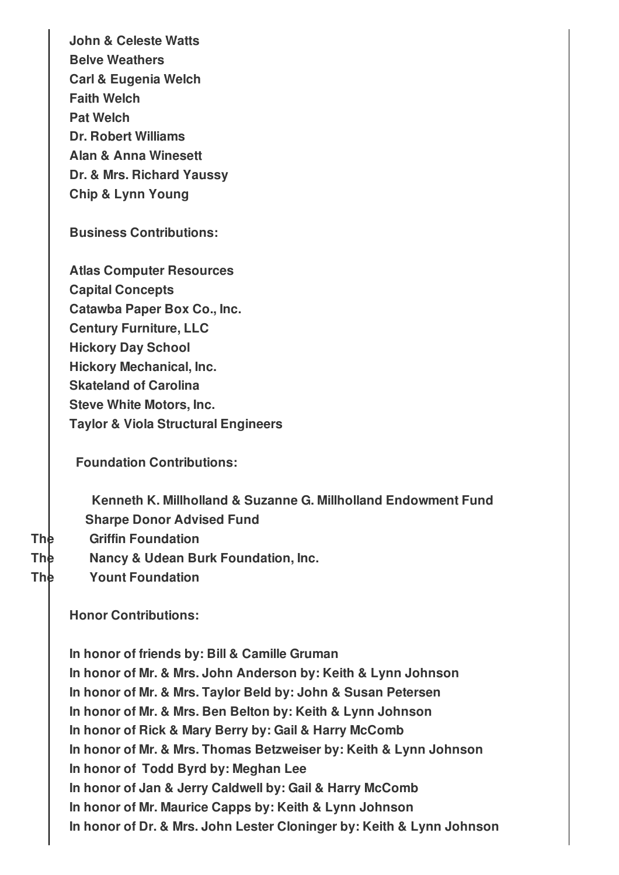**John & Celeste Watts Belve Weathers Carl & Eugenia Welch Faith Welch Pat Welch Dr. Robert Williams Alan & Anna Winesett Dr. & Mrs. Richard Yaussy Chip & Lynn Young**

**Business Contributions:**

**Atlas Computer Resources Capital Concepts Catawba Paper Box Co., Inc. Century Furniture, LLC Hickory Day School Hickory Mechanical, Inc. Skateland of Carolina Steve White Motors, Inc. Taylor & Viola Structural Engineers**

**Foundation Contributions:**

**Kenneth K. Millholland & Suzanne G. Millholland Endowment Fund**

- **Sharpe Donor Advised Fund**
- **The Griffin Foundation**
- **The Nancy & Udean Burk Foundation, Inc.**
- **The Yount Foundation**

**Honor Contributions:**

**In honor of friends by: Bill & Camille Gruman In honor of Mr. & Mrs. John Anderson by: Keith & Lynn Johnson In honor of Mr. & Mrs. Taylor Beld by: John & Susan Petersen In honor of Mr. & Mrs. Ben Belton by: Keith & Lynn Johnson In honor of Rick & Mary Berry by: Gail & Harry McComb In honor of Mr. & Mrs. Thomas Betzweiser by: Keith & Lynn Johnson In honor of Todd Byrd by: Meghan Lee In honor of Jan & Jerry Caldwell by: Gail & Harry McComb In honor of Mr. Maurice Capps by: Keith & Lynn Johnson In honor of Dr. & Mrs. John Lester Cloninger by: Keith & Lynn Johnson**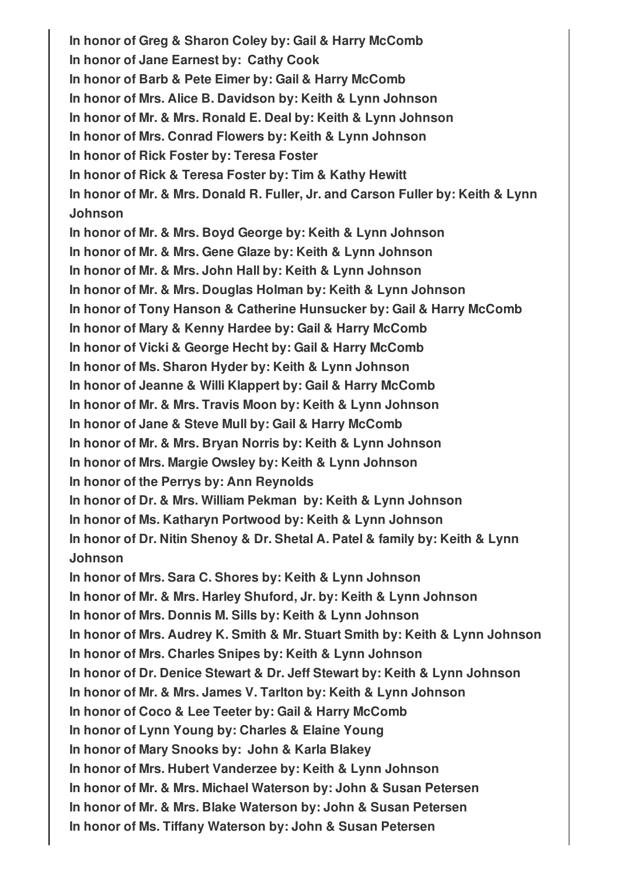**In honor of Greg & Sharon Coley by: Gail & Harry McComb In honor of Jane Earnest by: Cathy Cook In honor of Barb & Pete Eimer by: Gail & Harry McComb In honor of Mrs. Alice B. Davidson by: Keith & Lynn Johnson In honor of Mr. & Mrs. Ronald E. Deal by: Keith & Lynn Johnson In honor of Mrs. Conrad Flowers by: Keith & Lynn Johnson In honor of Rick Foster by: Teresa Foster In honor of Rick & Teresa Foster by: Tim & Kathy Hewitt In honor of Mr. & Mrs. Donald R. Fuller, Jr. and Carson Fuller by: Keith & Lynn Johnson In honor of Mr. & Mrs. Boyd George by: Keith & Lynn Johnson In honor of Mr. & Mrs. Gene Glaze by: Keith & Lynn Johnson In honor of Mr. & Mrs. John Hall by: Keith & Lynn Johnson In honor of Mr. & Mrs. Douglas Holman by: Keith & Lynn Johnson In honor of Tony Hanson & Catherine Hunsucker by: Gail & Harry McComb In honor of Mary & Kenny Hardee by: Gail & Harry McComb In honor of Vicki & George Hecht by: Gail & Harry McComb In honor of Ms. Sharon Hyder by: Keith & Lynn Johnson In honor of Jeanne & Willi Klappert by: Gail & Harry McComb In honor of Mr. & Mrs. Travis Moon by: Keith & Lynn Johnson In honor of Jane & Steve Mull by: Gail & Harry McComb In honor of Mr. & Mrs. Bryan Norris by: Keith & Lynn Johnson In honor of Mrs. Margie Owsley by: Keith & Lynn Johnson In honor of the Perrys by: Ann Reynolds In honor of Dr. & Mrs. William Pekman by: Keith & Lynn Johnson In honor of Ms. Katharyn Portwood by: Keith & Lynn Johnson In honor of Dr. Nitin Shenoy & Dr. Shetal A. Patel & family by: Keith & Lynn Johnson In honor of Mrs. Sara C. Shores by: Keith & Lynn Johnson In honor of Mr. & Mrs. Harley Shuford, Jr. by: Keith & Lynn Johnson In honor of Mrs. Donnis M. Sills by: Keith & Lynn Johnson In honor of Mrs. Audrey K. Smith & Mr. Stuart Smith by: Keith & Lynn Johnson In honor of Mrs. Charles Snipes by: Keith & Lynn Johnson In honor of Dr. Denice Stewart & Dr. Jeff Stewart by: Keith & Lynn Johnson In honor of Mr. & Mrs. James V. Tarlton by: Keith & Lynn Johnson In honor of Coco & Lee Teeter by: Gail & Harry McComb In honor of Lynn Young by: Charles & Elaine Young In honor of Mary Snooks by: John & Karla Blakey In honor of Mrs. Hubert Vanderzee by: Keith & Lynn Johnson In honor of Mr. & Mrs. Michael Waterson by: John & Susan Petersen In honor of Mr. & Mrs. Blake Waterson by: John & Susan Petersen In honor of Ms. Tiffany Waterson by: John & Susan Petersen**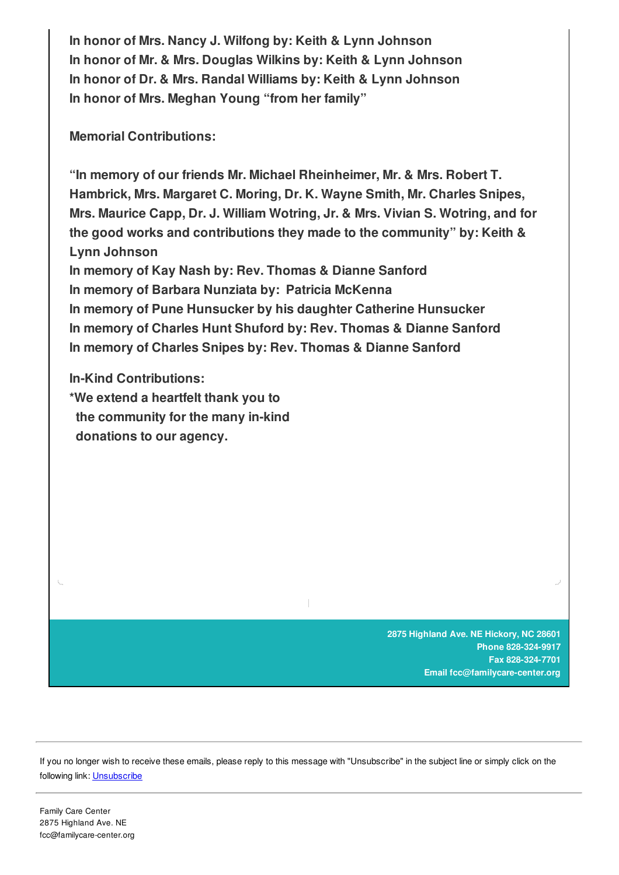**In honor of Mrs. Nancy J. Wilfong by: Keith & Lynn Johnson In honor of Mr. & Mrs. Douglas Wilkins by: Keith & Lynn Johnson In honor of Dr. & Mrs. Randal Williams by: Keith & Lynn Johnson In honor of Mrs. Meghan Young "from her family"**

**Memorial Contributions:**

**"In memory of our friends Mr. Michael Rheinheimer, Mr. & Mrs. Robert T. Hambrick, Mrs. Margaret C. Moring, Dr. K. Wayne Smith, Mr. Charles Snipes, Mrs. Maurice Capp, Dr. J. William Wotring, Jr. & Mrs. Vivian S. Wotring, and for the good works and contributions they made to the community" by: Keith & Lynn Johnson In memory of Kay Nash by: Rev. Thomas & Dianne Sanford In memory of Barbara Nunziata by: Patricia McKenna In memory of Pune Hunsucker by his daughter Catherine Hunsucker In memory of Charles Hunt Shuford by: Rev. Thomas & Dianne Sanford In memory of Charles Snipes by: Rev. Thomas & Dianne Sanford**

**In-Kind Contributions: \*We extend a heartfelt thank you to the community for the many in-kind donations to our agency.**

> **2875 Highland Ave. NE Hickory, NC 28601 Phone 828-324-9917 Fax 828-324-7701 Email fcc@familycare-center.org**

If you no longer wish to receive these emails, please reply to this message with "Unsubscribe" in the subject line or simply click on the following link: **Unsubscribe** 

Family Care Center 2875 Highland Ave. NE fcc@familycare-center.org